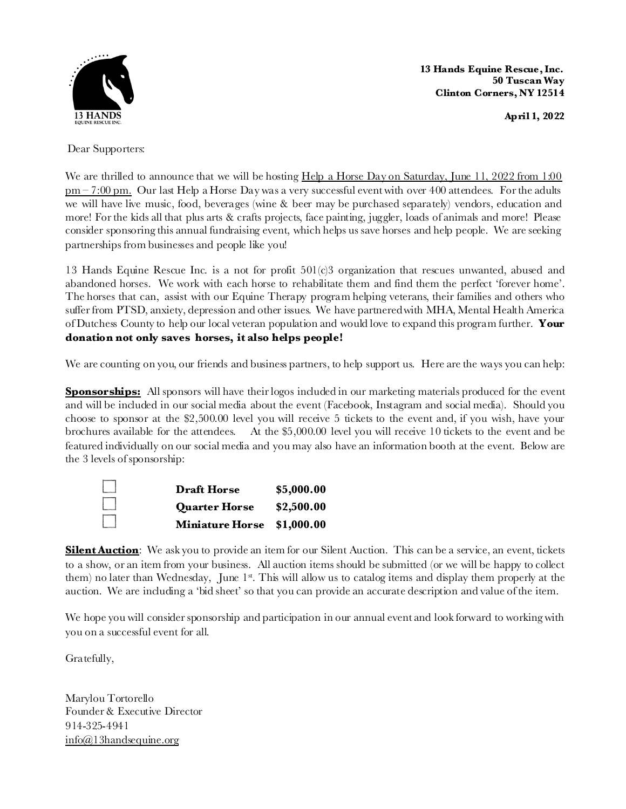

 **13 Hands Equine Rescue, Inc. 50 Tuscan Way Clinton Corners, NY 12514**

**April 1, 2022**

Dear Supporters:

We are thrilled to announce that we will be hosting Help a Horse Day on Saturday, June 11, 2022 from 1:00 pm – 7:00 pm. Our last Help a Horse Day was a very successful eventwith over 400 attendees. Forthe adults we will have live music, food, beverages (wine & beer may be purchased separately) vendors, education and more! Forthe kids all that plus arts & crafts projects, face painting, juggler, loads of animals and more! Please consider sponsoring this annual fundraising event, which helps us save horses and help people. We are seeking partnerships from businesses and people like you!

13 Hands Equine Rescue Inc. is a not for profit 501(c)3 organization that rescues unwanted, abused and abandoned horses. We work with each horse to rehabilitate them and find them the perfect 'forever home'. The horses that can, assist with our Equine Therapy program helping veterans, their families and others who sufferfrom PTSD, anxiety, depression and other issues. We have partneredwith MHA, Mental Health America of Dutchess County to help our local veteran population and would love to expand this program further. **Your donation not only saves horses, it also helps people!** 

We are counting on you, our friends and business partners, to help support us. Here are the ways you can help:

**Sponsorships:** All sponsors will have their logos included in our marketing materials produced for the event and will be included in our social media about the event (Facebook, Instagram and social media). Should you choose to sponsor at the \$2,500.00 level you will receive 5 tickets to the event and, if you wish, have your brochures available for the attendees. At the \$5,000.00 level you will receive 10 tickets to the event and be featured individually on our social media and you may also have an information booth at the event. Below are the 3 levels of sponsorship:



**Silent Auction**: We ask you to provide an item for our Silent Auction. This can be a service, an event, tickets to a show, or an item from your business. All auction items should be submitted (or we will be happy to collect them) no later than Wednesday, June  $1<sup>{st}</sup>$ . This will allow us to catalog items and display them properly at the auction. We are including a 'bid sheet' so that you can provide an accurate description and value of the item.

We hope you will consider sponsorship and participation in our annual event and look forward to working with you on a successful event for all.

Gratefully,

Marylou Tortorello Founder & Executive Director 914-325-4941 info@13handsequine.org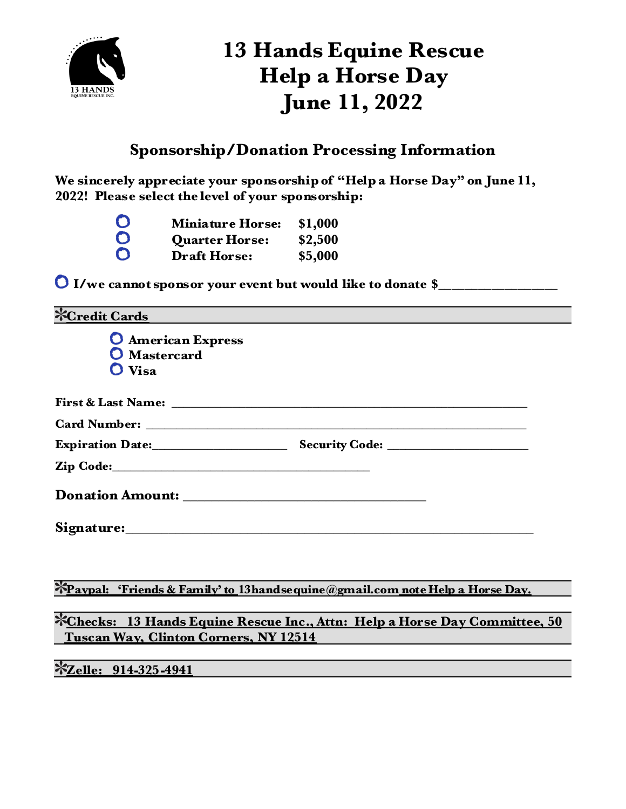

### **13 Hands Equine Rescue Help a Horse Day June 11, 2022**

### **Sponsorship/Donation Processing Information**

**We sincerely appreciate your sponsorship of "Help a Horse Day" on June 11, 2022! Please select the level of your sponsorship:**

| C | <b>Miniature Horse:</b> | \$1,000 |
|---|-------------------------|---------|
| D | <b>Quarter Horse:</b>   | \$2,500 |
| C | <b>Draft Horse:</b>     | \$5,000 |

**I/we cannot sponsor your event but would like to donate \$\_\_\_\_\_\_\_\_\_\_\_\_\_\_\_\_\_\_**

| <b>XCredit Cards</b>                                  |                                                                                 |  |
|-------------------------------------------------------|---------------------------------------------------------------------------------|--|
| <b>O</b> American Express<br>O Mastercard<br>$O$ Visa |                                                                                 |  |
|                                                       |                                                                                 |  |
|                                                       |                                                                                 |  |
|                                                       |                                                                                 |  |
|                                                       |                                                                                 |  |
|                                                       |                                                                                 |  |
|                                                       |                                                                                 |  |
|                                                       |                                                                                 |  |
|                                                       | *Paypal: 'Friends & Family' to 13handse quine @gmail.com note Help a Horse Day. |  |
| <b>Tuscan Way, Clinton Corners, NY 12514</b>          | *Checks: 13 Hands Equine Rescue Inc., Attn: Help a Horse Day Committee, 50      |  |

**Zelle: 914-325-4941**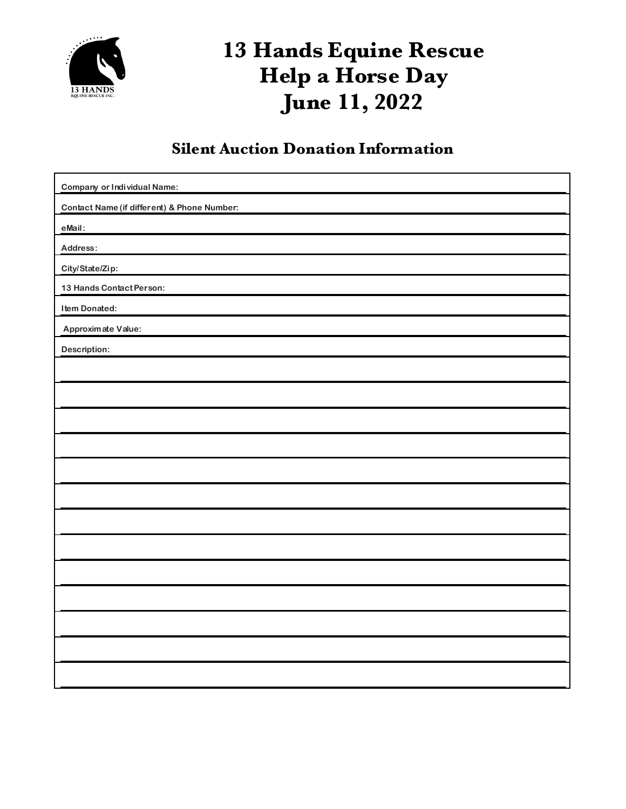

# **13 Hands Equine Rescue Help a Horse Day June 11, 2022**

#### **Silent Auction Donation Information**

| <b>Company or Individual Name:</b>          |  |  |  |  |
|---------------------------------------------|--|--|--|--|
| Contact Name (if different) & Phone Number: |  |  |  |  |
| eMail:                                      |  |  |  |  |
| Address:                                    |  |  |  |  |
| City/State/Zip:                             |  |  |  |  |
| 13 Hands Contact Person:                    |  |  |  |  |
| Item Donated:                               |  |  |  |  |
| Approximate Value:                          |  |  |  |  |
| Description:                                |  |  |  |  |
|                                             |  |  |  |  |
|                                             |  |  |  |  |
|                                             |  |  |  |  |
|                                             |  |  |  |  |
|                                             |  |  |  |  |
|                                             |  |  |  |  |
|                                             |  |  |  |  |
|                                             |  |  |  |  |
|                                             |  |  |  |  |
|                                             |  |  |  |  |
|                                             |  |  |  |  |
|                                             |  |  |  |  |
|                                             |  |  |  |  |
|                                             |  |  |  |  |